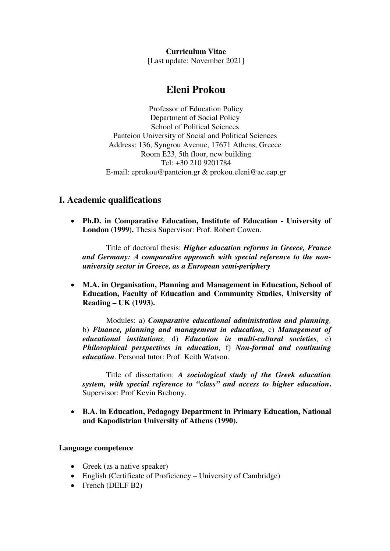**Curriculum Vitae** 

[Last update: November 2021]

# **Eleni Prokou**

Professor of Education Policy Department of Social Policy School of Political Sciences Panteion University of Social and Political Sciences Address: 136, Syngrou Avenue, 17671 Athens, Greece Room Ε23, 5th floor, new building Tel: +30 210 9201784 E-mail: eprokou@panteion.gr & prokou.eleni@ac.eap.gr

## **Ι. Academic qualifications**

• **Ph.D. in Comparative Education, Institute of Education - University of London (1999).** Thesis Supervisor: Prof. Robert Cowen.

Title of doctoral thesis: *Higher education reforms in Greece, France and Germany: Α comparative approach with special reference to the nonuniversity sector in Greece, as a European semi-periphery* 

• **Μ.A. in Organisation, Planning and Management in Education, School of Education, Faculty of Education and Community Studies, University of Reading – UK (1993).** 

Modules: a) *Comparative educational administration and planning,*  b) *Finance, planning and management in education,* c) *Management of educational institutions,* d) *Education in multi-cultural societies,* e) *Philosophical perspectives in education,* f) *Non-formal and continuing education*. Personal tutor: Prof. Keith Watson.

Title of dissertation: *A sociological study of the Greek education system, with special reference to "class" and access to higher education***.** Supervisor: Prof Kevin Brehony.

• **B.A. in Education, Pedagogy Department in Primary Education, National and Kapodistrian University of Athens (1990).** 

## **Language competence**

- Greek (as a native speaker)
- English (Certificate of Proficiency University of Cambridge)
- French (DELF B2)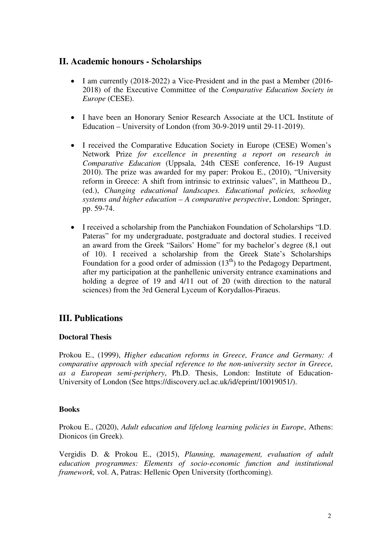## **II. Academic honours - Scholarships**

- I am currently (2018-2022) a Vice-President and in the past a Member (2016- 2018) of the Executive Committee of the *Comparative Education Society in Europe* (CESE).
- I have been an Honorary Senior Research Associate at the UCL Institute of Education – University of London (from 30-9-2019 until 29-11-2019).
- I received the Comparative Education Society in Europe (CESE) Women's Network Prize *for excellence in presenting a report on research in Comparative Education* (Uppsala, 24th CESE conference, 16-19 August 2010). The prize was awarded for my paper: Prokou E., (2010), "University reform in Greece: A shift from intrinsic to extrinsic values", in Mattheou D., (ed.), *Changing educational landscapes. Educational policies, schooling systems and higher education – A comparative perspective*, London: Springer, pp. 59-74.
- I received a scholarship from the Panchiakon Foundation of Scholarships "I.D. Pateras" for my undergraduate, postgraduate and doctoral studies. I received an award from the Greek "Sailors' Home" for my bachelor's degree (8,1 out of 10). I received a scholarship from the Greek State's Scholarships Foundation for a good order of admission  $(13<sup>th</sup>)$  to the Pedagogy Department, after my participation at the panhellenic university entrance examinations and holding a degree of 19 and 4/11 out of 20 (with direction to the natural sciences) from the 3rd General Lyceum of Korydallos-Piraeus.

# **III. Publications**

## **Doctoral Thesis**

Prokou E., (1999), *Higher education reforms in Greece, France and Germany: Α comparative approach with special reference to the non-university sector in Greece, as a European semi-periphery*, Ph.D. Thesis, London: Institute of Education-University of London (See https://discovery.ucl.ac.uk/id/eprint/10019051/).

## **Books**

Prokou E., (2020), *Adult education and lifelong learning policies in Europe*, Athens: Dionicos (in Greek).

Vergidis D. & Prokou E., (2015), *Planning, management, evaluation of adult education programmes: Elements of socio-economic function and institutional framework,* vol. A, Patras: Hellenic Open University (forthcoming).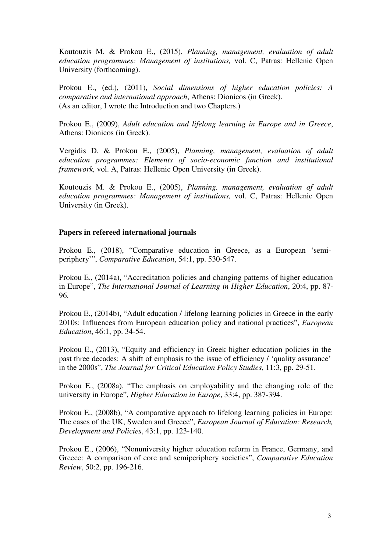Koutouzis M. & Prokou E., (2015), *Planning, management, evaluation of adult education programmes: Management of institutions,* vol. C, Patras: Hellenic Open University (forthcoming).

Prokou E., (ed.), (2011), *Social dimensions of higher education policies: A comparative and international approach*, Athens: Dionicos (in Greek). (As an editor, I wrote the Introduction and two Chapters.)

Prokou E., (2009), *Adult education and lifelong learning in Europe and in Greece*, Athens: Dionicos (in Greek).

Vergidis D. & Prokou E., (2005), *Planning, management, evaluation of adult education programmes: Elements of socio-economic function and institutional framework,* vol. A, Patras: Hellenic Open University (in Greek).

Koutouzis M. & Prokou E., (2005), *Planning, management, evaluation of adult education programmes: Management of institutions,* vol. C, Patras: Hellenic Open University (in Greek).

#### **Papers in refereed international journals**

Prokou E., (2018), "Comparative education in Greece, as a European 'semiperiphery'", *Comparative Education*, 54:1, pp. 530-547.

Prokou E., (2014a), "Accreditation policies and changing patterns of higher education in Europe", *The International Journal of Learning in Higher Education*, 20:4, pp. 87- 96.

Prokou E., (2014b), "Adult education / lifelong learning policies in Greece in the early 2010s: Influences from European education policy and national practices", *European Education*, 46:1, pp. 34-54.

Prokou E., (2013), "Equity and efficiency in Greek higher education policies in the past three decades: A shift of emphasis to the issue of efficiency / 'quality assurance' in the 2000s", *The Journal for Critical Education Policy Studies*, 11:3, pp. 29-51.

Prokou E., (2008a), "The emphasis on employability and the changing role of the university in Europe", *Higher Education in Europe*, 33:4, pp. 387-394.

Prokou E., (2008b), "A comparative approach to lifelong learning policies in Europe: The cases of the UK, Sweden and Greece", *European Journal of Education: Research, Development and Policies*, 43:1, pp. 123-140.

Prokou E., (2006), "Nonuniversity higher education reform in France, Germany, and Greece: A comparison of core and semiperiphery societies", *Comparative Education Review*, 50:2, pp. 196-216.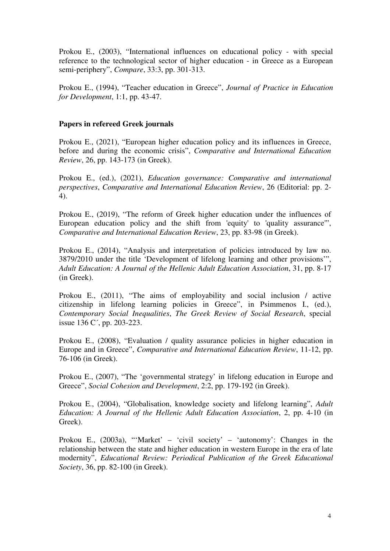Prokou E., (2003), "International influences on educational policy - with special reference to the technological sector of higher education - in Greece as a European semi-periphery", *Compare*, 33:3, pp. 301-313.

Prokou E., (1994), "Teacher education in Greece", *Journal of Practice in Education for Development*, 1:1, pp. 43-47.

#### **Papers in refereed Greek journals**

Prokou E., (2021), "European higher education policy and its influences in Greece, before and during the economic crisis", *Comparative and International Education Review*, 26, pp. 143-173 (in Greek).

Prokou E., (ed.), (2021), *Education governance: Comparative and international perspectives*, *Comparative and International Education Review*, 26 (Editorial: pp. 2- 4).

Prokou E., (2019), "The reform of Greek higher education under the influences of European education policy and the shift from 'equity' to 'quality assurance'", *Comparative and International Education Review*, 23, pp. 83-98 (in Greek).

Prokou E., (2014), "Analysis and interpretation of policies introduced by law no. 3879/2010 under the title 'Development of lifelong learning and other provisions'", *Adult Education: A Journal of the Hellenic Adult Education Association*, 31, pp. 8-17 (in Greek).

Prokou E., (2011), "The aims of employability and social inclusion / active citizenship in lifelong learning policies in Greece", in Psimmenos I., (ed.), *Contemporary Social Inequalities*, *The Greek Review of Social Research*, special issue 136 C´, pp. 203-223.

Prokou E., (2008), "Evaluation / quality assurance policies in higher education in Europe and in Greece", *Comparative and International Education Review*, 11-12, pp. 76-106 (in Greek).

Prokou E., (2007), "The 'governmental strategy' in lifelong education in Europe and Greece", *Social Cohesion and Development*, 2:2, pp. 179-192 (in Greek).

Prokou E., (2004), "Globalisation, knowledge society and lifelong learning", *Adult Education: A Journal of the Hellenic Adult Education Association*, 2, pp. 4-10 (in Greek).

Prokou E., (2003a), "'Market' – 'civil society' – 'autonomy': Changes in the relationship between the state and higher education in western Europe in the era of late modernity", *Educational Review: Periodical Publication of the Greek Educational Society*, 36, pp. 82-100 (in Greek).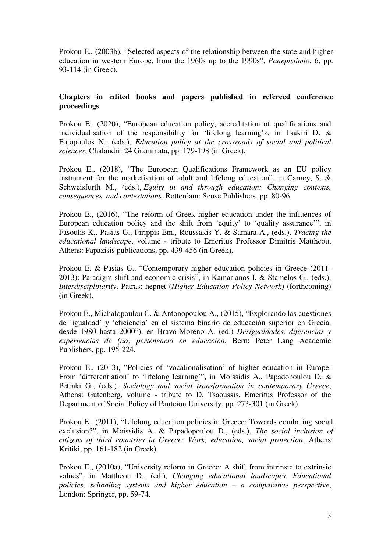Prokou E., (2003b), "Selected aspects of the relationship between the state and higher education in western Europe, from the 1960s up to the 1990s", *Panepistimio*, 6, pp. 93-114 (in Greek).

#### **Chapters in edited books and papers published in refereed conference proceedings**

Prokou E., (2020), "European education policy, accreditation of qualifications and individualisation of the responsibility for 'lifelong learning'», in Tsakiri D. & Fotopoulos N., (eds.), *Education policy at the crossroads of social and political sciences*, Chalandri: 24 Grammata, pp. 179-198 (in Greek).

Prokou E., (2018), "The European Qualifications Framework as an EU policy instrument for the marketisation of adult and lifelong education", in Carney, S. & Schweisfurth M., (eds.), *Equity in and through education: Changing contexts, consequences, and contestations*, Rotterdam: Sense Publishers, pp. 80-96.

Prokou E., (2016), "The reform of Greek higher education under the influences of European education policy and the shift from 'equity' to 'quality assurance'", in Fasoulis Κ., Pasias G., Firippis Em., Roussakis Y. & Samara A., (eds.), *Tracing the educational landscape*, volume - tribute to Emeritus Professor Dimitris Mattheou, Athens: Papazisis publications, pp. 439-456 (in Greek).

Prokou E. & Pasias G., "Contemporary higher education policies in Greece (2011-2013): Paradigm shift and economic crisis", in Kamarianos I. & Stamelos G., (eds.), *Interdisciplinarity*, Patras: hepnet (*Higher Education Policy Network*) (forthcoming) (in Greek).

Prokou E., Michalopoulou C. & Antonopoulou A., (2015), "Explorando las cuestiones de 'igualdad' y 'eficiencia' en el sistema binario de educación superior en Grecia, desde 1980 hasta 2000"), en Bravo-Moreno A. (ed.) *Desigualdades, diferencias y experiencias de (no) pertenencia en educación*, Bern: Peter Lang Academic Publishers, pp. 195-224.

Prokou E., (2013), "Policies of 'vocationalisation' of higher education in Europe: From 'differentiation' to 'lifelong learning'", in Moissidis A., Papadopoulou D. & Petraki G., (eds.), *Sociology and social transformation in contemporary Greece*, Athens: Gutenberg, volume - tribute to D. Tsaoussis, Emeritus Professor of the Department of Social Policy of Panteion University, pp. 273-301 (in Greek).

Prokou E., (2011), "Lifelong education policies in Greece: Towards combating social exclusion?", in Moissidis A. & Papadopoulou D., (eds.), *The social inclusion of citizens of third countries in Greece: Work, education, social protection*, Athens: Kritiki, pp. 161-182 (in Greek).

Prokou E., (2010a), "University reform in Greece: A shift from intrinsic to extrinsic values", in Mattheou D., (ed.), *Changing educational landscapes. Educational policies, schooling systems and higher education – a comparative perspective*, London: Springer, pp. 59-74.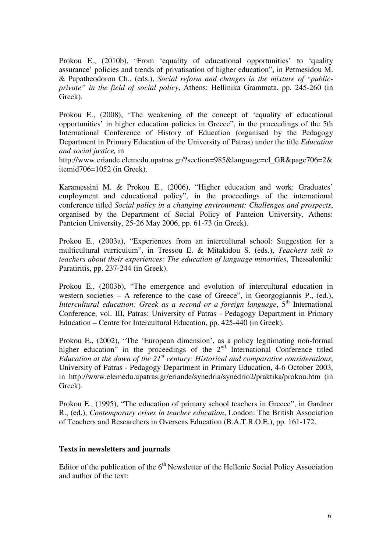Prokou E., (2010b), "From 'equality of educational opportunities' to 'quality assurance' policies and trends of privatisation of higher education", in Petmesidou M. & Papatheodorou Ch., (eds.), *Social reform and changes in the mixture of "publicprivate" in the field of social policy*, Athens: Hellinika Grammata, pp. 245-260 (in Greek).

Prokou E., (2008), "The weakening of the concept of 'equality of educational opportunities' in higher education policies in Greece", in the proceedings of the 5th International Conference of History of Education (organised by the Pedagogy Department in Primary Education of the University of Patras) under the title *Education and social justice,* in

http://www.eriande.elemedu.upatras.gr/?section=985&language=el\_GR&page706=2& itemid706=1052 (in Greek).

Karamessini M. & Prokou E., (2006), "Higher education and work: Graduates' employment and educational policy", in the proceedings of the international conference titled *Social policy in a changing environment: Challenges and prospects*, organised by the Department of Social Policy of Panteion University, Athens: Panteion University, 25-26 May 2006, pp. 61-73 (in Greek).

Prokou E., (2003a), "Experiences from an intercultural school: Suggestion for a multicultural curriculum", in Tressou E. & Mitakidou S. (eds.), *Teachers talk to teachers about their experiences: The education of language minorities*, Thessaloniki: Paratiritis, pp. 237-244 (in Greek).

Prokou E., (2003b), "The emergence and evolution of intercultural education in western societies – A reference to the case of Greece", in Georgogiannis P., (ed.), *Intercultural education: Greek as a second or a foreign language*,  $5<sup>th</sup>$  International Conference, vol. III, Patras: University of Patras - Pedagogy Department in Primary Education – Centre for Intercultural Education, pp. 425-440 (in Greek).

Prokou E., (2002), "The 'European dimension', as a policy legitimating non-formal higher education" in the proceedings of the 2<sup>nd</sup> International Conference titled *Education at the dawn of the 21st century: Historical and comparative considerations*, University of Patras - Pedagogy Department in Primary Education, 4-6 October 2003, in http://www.elemedu.upatras.gr/eriande/synedria/synedrio2/praktika/prokou.htm (in Greek).

Prokou E., (1995), "The education of primary school teachers in Greece", in Gardner R., (ed.), *Contemporary crises in teacher education*, London: The British Association of Teachers and Researchers in Overseas Education (B.A.T.R.O.E.), pp. 161-172.

#### **Texts in newsletters and journals**

Editor of the publication of the  $6<sup>th</sup>$  Newsletter of the Hellenic Social Policy Association and author of the text: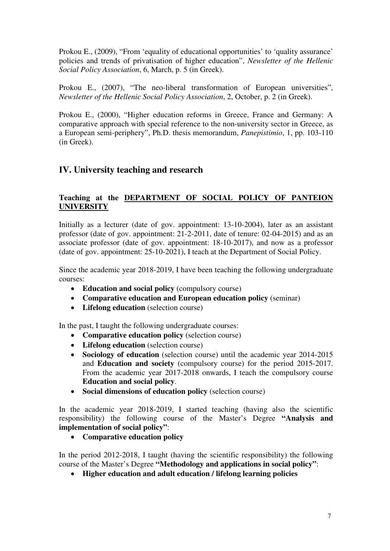Prokou E., (2009), "From 'equality of educational opportunities' to 'quality assurance' policies and trends of privatisation of higher education", *Newsletter of the Hellenic Social Policy Association*, 6, March, p. 5 (in Greek).

Prokou E., (2007), "The neo-liberal transformation of European universities", *Newsletter of the Hellenic Social Policy Association*, 2, October, p. 2 (in Greek).

Prokou E., (2000), "Higher education reforms in Greece, France and Germany: Α comparative approach with special reference to the non-university sector in Greece, as a European semi-periphery", Ph.D. thesis memorandum, *Panepistimio*, 1, pp. 103-110 (in Greek).

## **ΙV. University teaching and research**

## **Teaching at the DEPARTMENT OF SOCIAL POLICY OF PANTEION UNIVERSITY**

Initially as a lecturer (date of gov. appointment: 13-10-2004), later as an assistant professor (date of gov. appointment: 21-2-2011, date of tenure: 02-04-2015) and as an associate professor (date of gov. appointment: 18-10-2017), and now as a professor (date of gov. appointment: 25-10-2021), I teach at the Department of Social Policy.

Since the academic year 2018-2019, I have been teaching the following undergraduate courses:

- **Education and social policy** (compulsory course)
- **Comparative education and European education policy** (seminar)
- **Lifelong education** (selection course)

In the past, I taught the following undergraduate courses:

- **Comparative education policy** (selection course)
- **Lifelong education** (selection course)
- **Sociology of education** (selection course) until the academic year 2014-2015 and **Education and society** (compulsory course) for the period 2015-2017. From the academic year 2017-2018 onwards, I teach the compulsory course **Education and social policy**.
- **Social dimensions of education policy** (selection course)

In the academic year 2018-2019, I started teaching (having also the scientific responsibility) the following course of the Master's Degree **"Analysis and implementation of social policy"**:

• **Comparative education policy** 

In the period 2012-2018, I taught (having the scientific responsibility) the following course of the Master's Degree **"Methodology and applications in social policy"**:

• **Higher education and adult education / lifelong learning policies**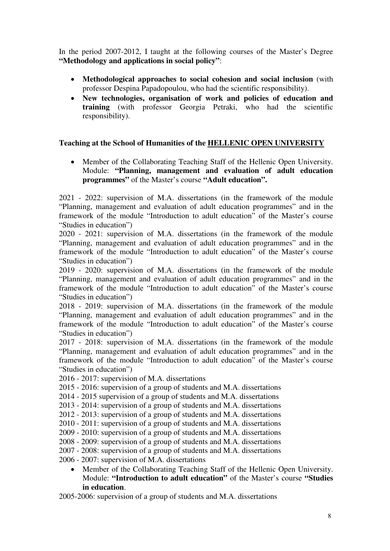In the period 2007-2012, I taught at the following courses of the Master's Degree **"Methodology and applications in social policy"**:

- **Methodological approaches to social cohesion and social inclusion** (with professor Despina Papadopoulou, who had the scientific responsibility).
- **New technologies, organisation of work and policies of education and training** (with professor Georgia Petraki, who had the scientific responsibility).

#### **Teaching at the School of Humanities of the HELLENIC OPEN UNIVERSITY**

• Member of the Collaborating Teaching Staff of the Hellenic Open University. Module: **"Planning, management and evaluation of adult education programmes"** of the Master's course **"Adult education".**

2021 - 2022: supervision of M.A. dissertations (in the framework of the module "Planning, management and evaluation of adult education programmes" and in the framework of the module "Introduction to adult education" of the Master's course "Studies in education")

2020 - 2021: supervision of M.A. dissertations (in the framework of the module "Planning, management and evaluation of adult education programmes" and in the framework of the module "Introduction to adult education" of the Master's course "Studies in education")

2019 - 2020: supervision of M.A. dissertations (in the framework of the module "Planning, management and evaluation of adult education programmes" and in the framework of the module "Introduction to adult education" of the Master's course "Studies in education")

2018 - 2019: supervision of M.A. dissertations (in the framework of the module "Planning, management and evaluation of adult education programmes" and in the framework of the module "Introduction to adult education" of the Master's course "Studies in education")

2017 - 2018: supervision of M.A. dissertations (in the framework of the module "Planning, management and evaluation of adult education programmes" and in the framework of the module "Introduction to adult education" of the Master's course "Studies in education")

2016 - 2017: supervision of M.A. dissertations

2015 - 2016: supervision of a group of students and M.A. dissertations

2014 - 2015 supervision of a group of students and M.A. dissertations

2013 - 2014: supervision of a group of students and M.A. dissertations

2012 - 2013: supervision of a group of students and M.A. dissertations

2010 - 2011: supervision of a group of students and M.A. dissertations

2009 - 2010: supervision of a group of students and M.A. dissertations

2008 - 2009: supervision of a group of students and M.A. dissertations

2007 - 2008: supervision of a group of students and M.A. dissertations

2006 - 2007: supervision of M.A. dissertations

• Member of the Collaborating Teaching Staff of the Hellenic Open University. Module: **"Introduction to adult education"** of the Master's course **"Studies in education**.

2005-2006: supervision of a group of students and M.A. dissertations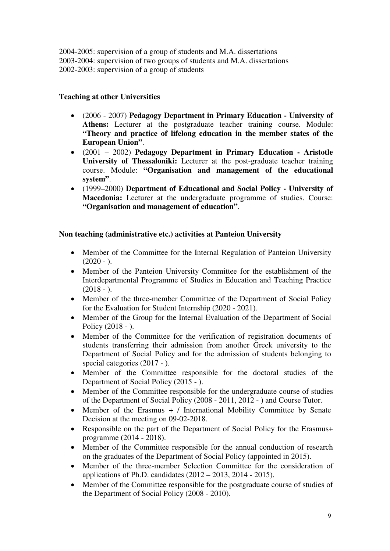2004-2005: supervision of a group of students and M.A. dissertations 2003-2004: supervision of two groups of students and M.A. dissertations 2002-2003: supervision of a group of students

## **Teaching at other Universities**

- (2006 2007) **Pedagogy Department in Primary Education University of Athens:** Lecturer at the postgraduate teacher training course. Module: **"Theory and practice of lifelong education in the member states of the European Union"**.
- (2001 2002) **Pedagogy Department in Primary Education Aristotle University of Thessaloniki:** Lecturer at the post-graduate teacher training course. Module: **"Organisation and management of the educational system"**.
- (1999–2000) **Department of Educational and Social Policy University of Macedonia:** Lecturer at the undergraduate programme of studies. Course: **"Organisation and management of education"**.

## **Non teaching (administrative etc.) activities at Panteion University**

- Member of the Committee for the Internal Regulation of Panteion University  $(2020 - )$ .
- Member of the Panteion University Committee for the establishment of the Interdepartmental Programme of Studies in Education and Teaching Practice  $(2018 - ).$
- Member of the three-member Committee of the Department of Social Policy for the Evaluation for Student Internship (2020 - 2021).
- Member of the Group for the Internal Evaluation of the Department of Social Policy (2018 - ).
- Member of the Committee for the verification of registration documents of students transferring their admission from another Greek university to the Department of Social Policy and for the admission of students belonging to special categories (2017 - ).
- Member of the Committee responsible for the doctoral studies of the Department of Social Policy (2015 - ).
- Member of the Committee responsible for the undergraduate course of studies of the Department of Social Policy (2008 - 2011, 2012 - ) and Course Tutor.
- Member of the Erasmus + / International Mobility Committee by Senate Decision at the meeting on 09-02-2018.
- Responsible on the part of the Department of Social Policy for the Erasmus+ programme (2014 - 2018).
- Member of the Committee responsible for the annual conduction of research on the graduates of the Department of Social Policy (appointed in 2015).
- Member of the three-member Selection Committee for the consideration of applications of Ph.D. candidates (2012 – 2013, 2014 - 2015).
- Member of the Committee responsible for the postgraduate course of studies of the Department of Social Policy (2008 - 2010).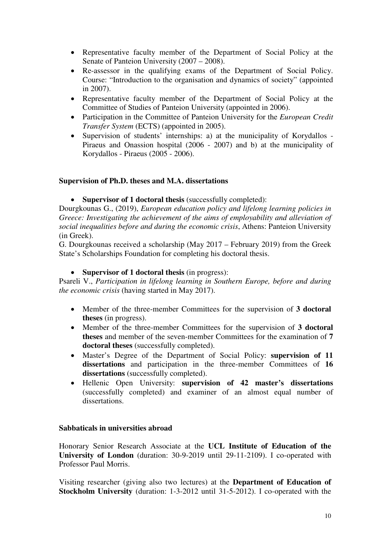- Representative faculty member of the Department of Social Policy at the Senate of Panteion University (2007 – 2008).
- Re-assessor in the qualifying exams of the Department of Social Policy. Course: "Introduction to the organisation and dynamics of society" (appointed in 2007).
- Representative faculty member of the Department of Social Policy at the Committee of Studies of Panteion University (appointed in 2006).
- Participation in the Committee of Panteion University for the *European Credit Transfer System* (ECTS) (appointed in 2005).
- Supervision of students' internships: a) at the municipality of Korydallos Piraeus and Onassion hospital (2006 - 2007) and b) at the municipality of Korydallos - Piraeus (2005 - 2006).

#### **Supervision of Ph.D. theses and M.A. dissertations**

#### • **Supervisor of 1 doctoral thesis** (successfully completed):

Dourgkounas G., (2019), *European education policy and lifelong learning policies in Greece: Investigating the achievement of the aims of employability and alleviation of social inequalities before and during the economic crisis*, Athens: Panteion University (in Greek).

G. Dourgkounas received a scholarship (May 2017 – February 2019) from the Greek State's Scholarships Foundation for completing his doctoral thesis.

#### • **Supervisor of 1 doctoral thesis** (in progress):

Psareli V., *Participation in lifelong learning in Southern Europe, before and during the economic crisis* (having started in May 2017).

- Member of the three-member Committees for the supervision of **3 doctoral theses** (in progress).
- Member of the three-member Committees for the supervision of **3 doctoral theses** and member of the seven-member Committees for the examination of **7 doctoral theses** (successfully completed).
- Master's Degree of the Department of Social Policy: **supervision of 11 dissertations** and participation in the three-member Committees of **16 dissertations** (successfully completed).
- Hellenic Open University: **supervision of 42 master's dissertations**  (successfully completed) and examiner of an almost equal number of dissertations.

#### **Sabbaticals in universities abroad**

Honorary Senior Research Associate at the **UCL Institute of Education of the University of London** (duration: 30-9-2019 until 29-11-2109). Ι co-operated with Professor Paul Morris.

Visiting researcher (giving also two lectures) at the **Department of Education of Stockholm University** (duration: 1-3-2012 until 31-5-2012). Ι co-operated with the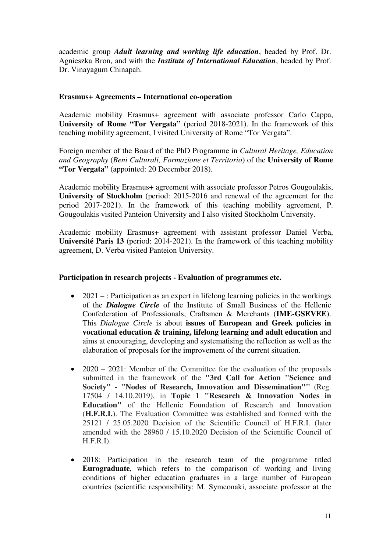academic group *Adult learning and working life education*, headed by Prof. Dr. Agnieszka Bron, and with the *Institute of International Education*, headed by Prof. Dr. Vinayagum Chinapah.

#### **Erasmus+ Agreements – International co-operation**

Academic mobility Erasmus+ agreement with associate professor Carlo Cappa, **University of Rome "Tor Vergata"** (period 2018-2021). In the framework of this teaching mobility agreement, I visited University of Rome "Tor Vergata".

Foreign member of the Board of the PhD Programme in *Cultural Heritage, Education and Geography* (*Beni Culturali, Formazione et Territorio*) of the **University of Rome "Tor Vergata"** (appointed: 20 December 2018).

Academic mobility Erasmus+ agreement with associate professor Petros Gougoulakis, **University of Stockholm** (period: 2015-2016 and renewal of the agreement for the period 2017-2021). In the framework of this teaching mobility agreement, P. Gougoulakis visited Panteion University and I also visited Stockholm University.

Academic mobility Erasmus+ agreement with assistant professor Daniel Verba, **Université Paris 13** (period: 2014-2021). In the framework of this teaching mobility agreement, D. Verba visited Panteion University.

#### **Participation in research projects - Evaluation of programmes etc.**

- 2021 : Participation as an expert in lifelong learning policies in the workings of the *Dialogue Circle* of the Institute of Small Business of the Hellenic Confederation of Professionals, Craftsmen & Merchants (**IME-GSEVEE**). This *Dialogue Circle* is about **issues of European and Greek policies in vocational education & training, lifelong learning and adult education** and aims at encouraging, developing and systematising the reflection as well as the elaboration of proposals for the improvement of the current situation.
- 2020 2021: Member of the Committee for the evaluation of the proposals submitted in the framework of the **"3rd Call for Action "Science and Society" - "Nodes of Research, Innovation and Dissemination""** (Reg. 17504 / 14.10.2019), in **Topic 1 "Research & Innovation Nodes in Education"** of the Hellenic Foundation of Research and Innovation (**H.F.R.I.**). The Evaluation Committee was established and formed with the 25121 / 25.05.2020 Decision of the Scientific Council of H.F.R.I. (later amended with the 28960 / 15.10.2020 Decision of the Scientific Council of H.F.R.I).
- 2018: Participation in the research team of the programme titled **Eurograduate**, which refers to the comparison of working and living conditions of higher education graduates in a large number of European countries (scientific responsibility: M. Symeonaki, associate professor at the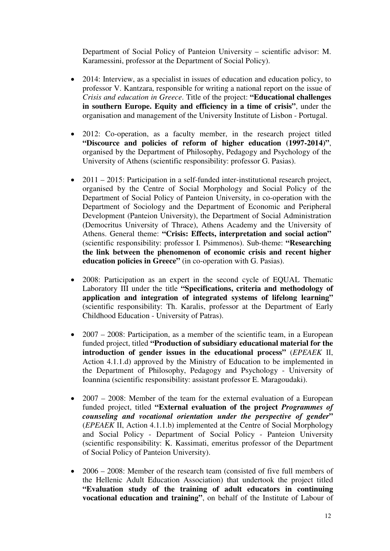Department of Social Policy of Panteion University – scientific advisor: M. Karamessini, professor at the Department of Social Policy).

- 2014: Interview, as a specialist in issues of education and education policy, to professor V. Kantzara, responsible for writing a national report on the issue of *Crisis and education in Greece*. Title of the project: **"Educational challenges in southern Europe. Equity and efficiency in a time of crisis"**, under the organisation and management of the University Institute of Lisbon - Portugal.
- 2012: Co-operation, as a faculty member, in the research project titled **"Discource and policies of reform of higher education (1997-2014)"**, organised by the Department of Philosophy, Pedagogy and Psychology of the University of Athens (scientific responsibility: professor G. Pasias).
- 2011 2015: Participation in a self-funded inter-institutional research project, organised by the Centre of Social Morphology and Social Policy of the Department of Social Policy of Panteion University, in co-operation with the Department of Sociology and the Department of Economic and Peripheral Development (Panteion University), the Department of Social Administration (Democritus University of Thrace), Athens Academy and the University of Athens. General theme: **"Crisis: Effects, interpretation and social action"** (scientific responsibility: professor I. Psimmenos). Sub-theme: **"Researching the link between the phenomenon of economic crisis and recent higher education policies in Greece"** (in co-operation with G. Pasias).
- 2008: Participation as an expert in the second cycle of EQUAL Thematic Laboratory III under the title **"Specifications, criteria and methodology of application and integration of integrated systems of lifelong learning"**  (scientific responsibility: Th. Karalis, professor at the Department of Early Childhood Education - University of Patras).
- 2007 2008: Participation, as a member of the scientific team, in a European funded project, titled **"Production of subsidiary educational material for the introduction of gender issues in the educational process"** (*EPEAEK* ΙΙ, Action 4.1.1.d) approved by the Ministry of Education to be implemented in the Department of Philosophy, Pedagogy and Psychology - University of Ioannina (scientific responsibility: assistant professor E. Maragoudaki).
- 2007 2008: Member of the team for the external evaluation of a European funded project, titled **"External evaluation of the project** *Programmes of counseling and vocational orientation under the perspective of gender***"** (*EPEAEK* ΙΙ, Action 4.1.1.b) implemented at the Centre of Social Morphology and Social Policy - Department of Social Policy - Panteion University (scientific responsibility: K. Kassimati, emeritus professor of the Department of Social Policy of Panteion University).
- 2006 2008: Member of the research team (consisted of five full members of the Hellenic Adult Education Association) that undertook the project titled **"Evaluation study of the training of adult educators in continuing vocational education and training"**, on behalf of the Institute of Labour of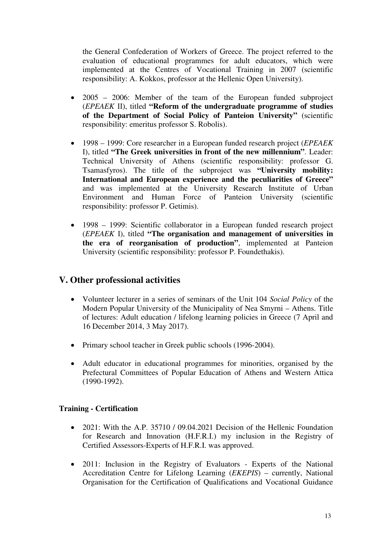the General Confederation of Workers of Greece. The project referred to the evaluation of educational programmes for adult educators, which were implemented at the Centres of Vocational Training in 2007 (scientific responsibility: A. Kokkos, professor at the Hellenic Open University).

- 2005 2006: Member of the team of the European funded subproject (*EPEAEK* ΙΙ), titled **"Reform of the undergraduate programme of studies of the Department of Social Policy of Panteion University"** (scientific responsibility: emeritus professor S. Robolis).
- 1998 1999: Core researcher in a European funded research project (*EPEAEK* Ι), titled **"The Greek universities in front of the new millennium"**. Leader: Technical University of Athens (scientific responsibility: professor G. Tsamasfyros). The title of the subproject was **"University mobility: International and European experience and the peculiarities of Greece"** and was implemented at the University Research Institute of Urban Environment and Human Force of Panteion University (scientific responsibility: professor P. Getimis).
- 1998 1999: Scientific collaborator in a European funded research project (*EPEAEK* Ι), titled **"The organisation and management of universities in the era of reorganisation of production"**, implemented at Panteion University (scientific responsibility: professor P. Foundethakis).

## **V. Other professional activities**

- Volunteer lecturer in a series of seminars of the Unit 104 *Social Policy* of the Modern Popular University of the Municipality of Nea Smyrni – Athens. Title of lectures: Adult education / lifelong learning policies in Greece (7 April and 16 December 2014, 3 May 2017).
- Primary school teacher in Greek public schools (1996-2004).
- Adult educator in educational programmes for minorities, organised by the Prefectural Committees of Popular Education of Athens and Western Attica (1990-1992).

## **Training - Certification**

- 2021: With the A.P. 35710 / 09.04.2021 Decision of the Hellenic Foundation for Research and Innovation (H.F.R.I.) my inclusion in the Registry of Certified Assessors-Experts of H.F.R.I. was approved.
- 2011: Inclusion in the Registry of Evaluators Experts of the National Accreditation Centre for Lifelong Learning (*EKEPIS*) – currently, National Organisation for the Certification of Qualifications and Vocational Guidance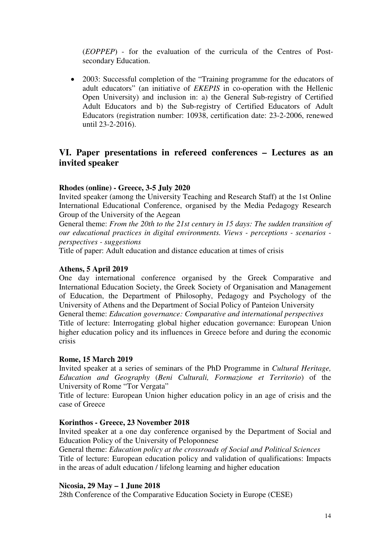(*EOPPEP*) - for the evaluation of the curricula of the Centres of Postsecondary Education.

• 2003: Successful completion of the "Training programme for the educators of adult educators" (an initiative of *EKEPIS* in co-operation with the Hellenic Open University) and inclusion in: a) the General Sub-registry of Certified Adult Educators and b) the Sub-registry of Certified Educators of Adult Educators (registration number: 10938, certification date: 23-2-2006, renewed until 23-2-2016).

## **VI. Paper presentations in refereed conferences – Lectures as an invited speaker**

#### **Rhodes (online) - Greece, 3-5 July 2020**

Invited speaker (among the University Teaching and Research Staff) at the 1st Online International Educational Conference, organised by the Media Pedagogy Research Group of the University of the Aegean

General theme: *From the 20th to the 21st century in 15 days: The sudden transition of our educational practices in digital environments. Views - perceptions - scenarios perspectives - suggestions*

Title of paper: Adult education and distance education at times of crisis

#### **Athens, 5 April 2019**

One day international conference organised by the Greek Comparative and International Education Society, the Greek Society of Organisation and Management of Education, the Department of Philosophy, Pedagogy and Psychology of the University of Athens and the Department of Social Policy of Panteion University General theme: *Education governance: Comparative and international perspectives*  Title of lecture: Interrogating global higher education governance: European Union higher education policy and its influences in Greece before and during the economic crisis

#### **Rome, 15 March 2019**

Invited speaker at a series of seminars of the PhD Programme in *Cultural Heritage, Education and Geography* (*Beni Culturali, Formazione et Territorio*) of the University of Rome "Tor Vergata"

Title of lecture: European Union higher education policy in an age of crisis and the case of Greece

#### **Korinthos - Greece, 23 November 2018**

Invited speaker at a one day conference organised by the Department of Social and Education Policy of the University of Peloponnese

General theme: *Education policy at the crossroads of Social and Political Sciences* Title of lecture: European education policy and validation of qualifications: Impacts in the areas of adult education / lifelong learning and higher education

#### **Nicosia, 29 May – 1 June 2018**

28th Conference of the Comparative Education Society in Europe (CESE)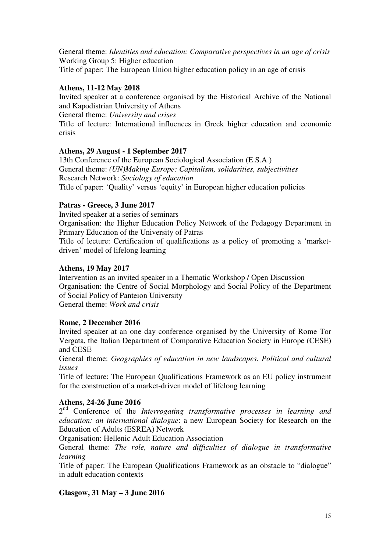General theme: *Identities and education: Comparative perspectives in an age of crisis* Working Group 5: Higher education Title of paper: The European Union higher education policy in an age of crisis

### **Athens, 11-12 May 2018**

Invited speaker at a conference organised by the Historical Archive of the National and Kapodistrian University of Athens

General theme: *University and crises*

Title of lecture: International influences in Greek higher education and economic crisis

## **Athens, 29 August - 1 September 2017**

13th Conference of the European Sociological Association (E.S.A.) General theme: *(UN)Making Europe: Capitalism, solidarities, subjectivities* Research Network: *Sociology of education*  Title of paper: 'Quality' versus 'equity' in European higher education policies

#### **Patras - Greece, 3 June 2017**

Invited speaker at a series of seminars

Organisation: the Higher Education Policy Network of the Pedagogy Department in Primary Education of the University of Patras

Title of lecture: Certification of qualifications as a policy of promoting a 'marketdriven' model of lifelong learning

#### **Athens, 19 May 2017**

Intervention as an invited speaker in a Thematic Workshop / Open Discussion Organisation: the Centre of Social Morphology and Social Policy of the Department of Social Policy of Panteion University

General theme: *Work and crisis*

#### **Rome, 2 December 2016**

Invited speaker at an one day conference organised by the University of Rome Tor Vergata, the Italian Department of Comparative Education Society in Europe (CESE) and CESE

General theme: *Geographies of education in new landscapes. Political and cultural issues*

Title of lecture: The European Qualifications Framework as an EU policy instrument for the construction of a market-driven model of lifelong learning

#### **Athens, 24-26 June 2016**

2 nd Conference of the *Interrogating transformative processes in learning and education: an international dialogue*: a new European Society for Research on the Education of Adults (ESREA) Network

Organisation: Hellenic Adult Education Association

General theme: *The role, nature and difficulties of dialogue in transformative learning*

Title of paper: The European Qualifications Framework as an obstacle to "dialogue" in adult education contexts

## **Glasgow, 31 May – 3 June 2016**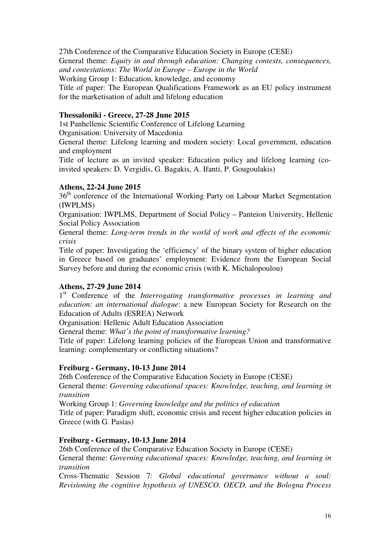27th Conference of the Comparative Education Society in Europe (CESE) General theme: *Equity in and through education: Changing contexts, consequences, and contestations: The World in Europe – Europe in the World* Working Group 1: Education, knowledge, and economy Title of paper: The European Qualifications Framework as an EU policy instrument for the marketisation of adult and lifelong education

## **Thessaloniki - Greece, 27-28 June 2015**

1st Panhellenic Scientific Conference of Lifelong Learning Organisation: University of Macedonia

General theme: Lifelong learning and modern society: Local government, education and employment

Title of lecture as an invited speaker: Education policy and lifelong learning (coinvited speakers: D. Vergidis, G. Bagakis, A. Ifanti, P. Gougoulakis)

## **Athens, 22-24 June 2015**

36<sup>th</sup> conference of the International Working Party on Labour Market Segmentation (IWPLMS)

Organisation: IWPLMS, Department of Social Policy – Panteion University, Hellenic Social Policy Association

General theme: *Long-term trends in the world of work and effects of the economic crisis*

Title of paper: Investigating the 'efficiency' of the binary system of higher education in Greece based on graduates' employment: Evidence from the European Social Survey before and during the economic crisis (with K. Michalopoulou)

## **Athens, 27-29 June 2014**

1<sup>st</sup> Conference of the *Interrogating transformative processes in learning and education: an international dialogue*: a new European Society for Research on the Education of Adults (ESREA) Network

Organisation: Hellenic Adult Education Association

General theme: *What's the point of transformative learning?* 

Title of paper: Lifelong learning policies of the European Union and transformative learning: complementary or conflicting situations?

## **Freiburg - Germany, 10-13 June 2014**

26th Conference of the Comparative Education Society in Europe (CESE) General theme: *Governing educational spaces: Knowledge, teaching, and learning in transition*

Working Group 1: *Governing knowledge and the politics of education* 

Title of paper: Paradigm shift, economic crisis and recent higher education policies in Greece (with G. Pasias)

## **Freiburg - Germany, 10-13 June 2014**

26th Conference of the Comparative Education Society in Europe (CESE) General theme: *Governing educational spaces: Knowledge, teaching, and learning in transition*

Cross-Thematic Session 7: *Global educational governance without a soul: Revisioning the cognitive hypothesis of UNESCO, OECD, and the Bologna Process*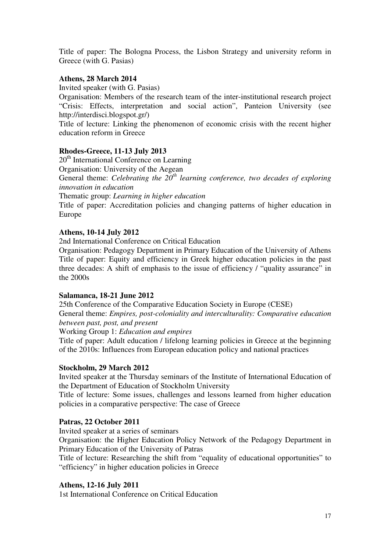Title of paper: The Bologna Process, the Lisbon Strategy and university reform in Greece (with G. Pasias)

### **Athens, 28 March 2014**

Invited speaker (with G. Pasias)

Organisation: Members of the research team of the inter-institutional research project "Crisis: Effects, interpretation and social action", Panteion University (see http://interdisci.blogspot.gr/)

Title of lecture: Linking the phenomenon of economic crisis with the recent higher education reform in Greece

#### **Rhodes-Greece, 11-13 July 2013**

20<sup>th</sup> International Conference on Learning

Organisation: University of the Aegean

General theme: *Celebrating the 20th learning conference, two decades of exploring innovation in education* 

Thematic group: *Learning in higher education*

Title of paper: Accreditation policies and changing patterns of higher education in Europe

#### **Athens, 10-14 July 2012**

2nd International Conference on Critical Education

Organisation: Pedagogy Department in Primary Education of the University of Athens Title of paper: Equity and efficiency in Greek higher education policies in the past three decades: A shift of emphasis to the issue of efficiency / "quality assurance" in the 2000s

#### **Salamanca, 18-21 June 2012**

25th Conference of the Comparative Education Society in Europe (CESE)

General theme: *Empires, post-coloniality and interculturality: Comparative education between past, post, and present*

Working Group 1: *Education and empires*

Title of paper: Adult education / lifelong learning policies in Greece at the beginning of the 2010s: Influences from European education policy and national practices

#### **Stockholm, 29 March 2012**

Invited speaker at the Thursday seminars of the Institute of International Education of the Department of Education of Stockholm University

Title of lecture: Some issues, challenges and lessons learned from higher education policies in a comparative perspective: The case of Greece

#### **Patras, 22 October 2011**

Invited speaker at a series of seminars

Organisation: the Higher Education Policy Network of the Pedagogy Department in Primary Education of the University of Patras

Title of lecture: Researching the shift from "equality of educational opportunities" to "efficiency" in higher education policies in Greece

#### **Athens, 12-16 July 2011**

1st International Conference on Critical Education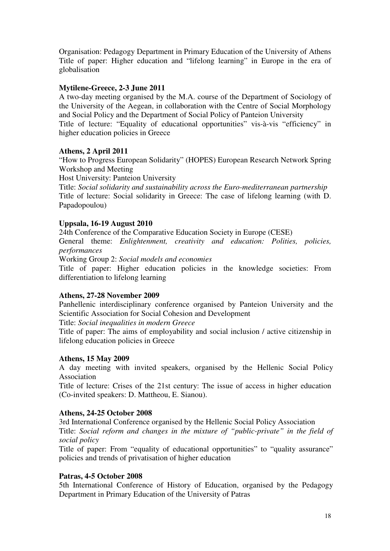Organisation: Pedagogy Department in Primary Education of the University of Athens Title of paper: Higher education and "lifelong learning" in Europe in the era of globalisation

#### **Mytilene-Greece, 2-3 June 2011**

A two-day meeting organised by the M.A. course of the Department of Sociology of the University of the Aegean, in collaboration with the Centre of Social Morphology and Social Policy and the Department of Social Policy of Panteion University Title of lecture: "Equality of educational opportunities" vis-à-vis "efficiency" in higher education policies in Greece

#### **Athens, 2 April 2011**

"How to Progress European Solidarity" (HOPES) European Research Network Spring Workshop and Meeting

Host University: Panteion University

Title: *Social solidarity and sustainability across the Euro-mediterranean partnership* Title of lecture: Social solidarity in Greece: The case of lifelong learning (with D. Papadopoulou)

#### **Uppsala, 16-19 August 2010**

24th Conference of the Comparative Education Society in Europe (CESE)

General theme: *Enlightenment, creativity and education: Polities, policies, performances*

Working Group 2: *Social models and economies*

Title of paper: Higher education policies in the knowledge societies: From differentiation to lifelong learning

#### **Athens, 27-28 November 2009**

Panhellenic interdisciplinary conference organised by Panteion University and the Scientific Association for Social Cohesion and Development

Title: *Social inequalities in modern Greece*

Title of paper: The aims of employability and social inclusion / active citizenship in lifelong education policies in Greece

#### **Athens, 15 May 2009**

A day meeting with invited speakers, organised by the Hellenic Social Policy Association

Title of lecture: Crises of the 21st century: The issue of access in higher education (Co-invited speakers: D. Mattheou, E. Sianou).

#### **Athens, 24-25 October 2008**

3rd International Conference organised by the Hellenic Social Policy Association Title: *Social reform and changes in the mixture of "public-private" in the field of social policy* 

Title of paper: From "equality of educational opportunities" to "quality assurance" policies and trends of privatisation of higher education

#### **Patras, 4-5 October 2008**

5th International Conference of History of Education, organised by the Pedagogy Department in Primary Education of the University of Patras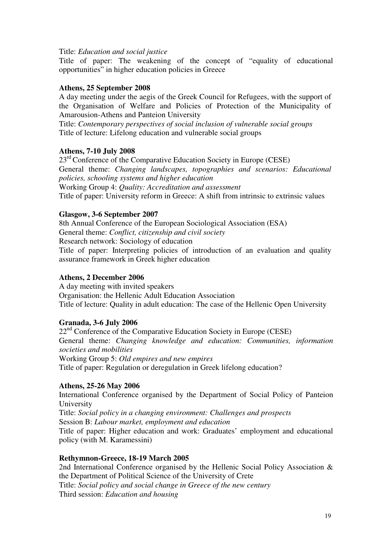#### Title: *Education and social justice*

Title of paper: The weakening of the concept of "equality of educational opportunities" in higher education policies in Greece

### **Athens, 25 September 2008**

A day meeting under the aegis of the Greek Council for Refugees, with the support of the Organisation of Welfare and Policies of Protection of the Municipality of Amarousion-Athens and Panteion University

Title: *Contemporary perspectives of social inclusion of vulnerable social groups*  Title of lecture: Lifelong education and vulnerable social groups

#### **Athens, 7-10 July 2008**

 $23<sup>rd</sup>$  Conference of the Comparative Education Society in Europe (CESE) General theme: *Changing landscapes, topographies and scenarios: Educational policies, schooling systems and higher education*  Working Group 4: *Quality: Accreditation and assessment*  Title of paper: University reform in Greece: A shift from intrinsic to extrinsic values

#### **Glasgow, 3-6 September 2007**

8th Annual Conference of the European Sociological Association (ESA) General theme: *Conflict, citizenship and civil society*  Research network: Sociology of education Title of paper: Interpreting policies of introduction of an evaluation and quality assurance framework in Greek higher education

#### **Athens, 2 December 2006**

A day meeting with invited speakers Organisation: the Hellenic Adult Education Association Title of lecture: Quality in adult education: The case of the Hellenic Open University

## **Granada, 3-6 July 2006**

 $22<sup>nd</sup>$  Conference of the Comparative Education Society in Europe (CESE) General theme: *Changing knowledge and education: Communities, information societies and mobilities* Working Group 5: *Old empires and new empires* Title of paper: Regulation or deregulation in Greek lifelong education?

## **Athens, 25-26 May 2006**

International Conference organised by the Department of Social Policy of Panteion University Title: *Social policy in a changing environment: Challenges and prospects*  Session B: *Labour market, employment and education*  Title of paper: Higher education and work: Graduates' employment and educational policy (with M. Karamessini)

#### **Rethymnon-Greece, 18-19 March 2005**

2nd International Conference organised by the Hellenic Social Policy Association & the Department of Political Science of the University of Crete Title: *Social policy and social change in Greece of the new century* Third session: *Education and housing*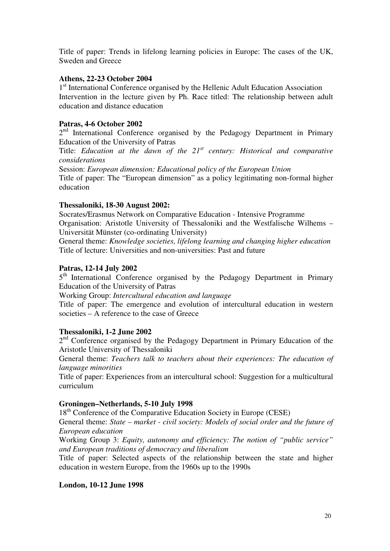Title of paper: Trends in lifelong learning policies in Europe: The cases of the UK, Sweden and Greece

#### **Athens, 22-23 October 2004**

1<sup>st</sup> International Conference organised by the Hellenic Adult Education Association Intervention in the lecture given by Ph. Race titled: The relationship between adult education and distance education

### **Patras, 4-6 October 2002**

 $2<sup>nd</sup>$  International Conference organised by the Pedagogy Department in Primary Education of the University of Patras

Title: *Education at the dawn of the 21st century: Historical and comparative considerations* 

Session: *European dimension: Educational policy of the European Union* 

Title of paper: The "European dimension" as a policy legitimating non-formal higher education

#### **Thessaloniki, 18-30 August 2002:**

Socrates/Erasmus Network on Comparative Education - Intensive Programme Organisation: Aristotle University of Thessaloniki and the Westfalische Wilhems – Universität Münster (co-ordinating University)

General theme: *Knowledge societies, lifelong learning and changing higher education*  Title of lecture: Universities and non-universities: Past and future

## **Patras, 12-14 July 2002**

5<sup>th</sup> International Conference organised by the Pedagogy Department in Primary Education of the University of Patras

Working Group: *Intercultural education and language* 

Title of paper: The emergence and evolution of intercultural education in western societies – A reference to the case of Greece

#### **Thessaloniki, 1-2 June 2002**

2<sup>nd</sup> Conference organised by the Pedagogy Department in Primary Education of the Aristotle University of Thessaloniki

General theme: *Teachers talk to teachers about their experiences: The education of language minorities* 

Title of paper: Experiences from an intercultural school: Suggestion for a multicultural curriculum

#### **Groningen–Netherlands, 5-10 July 1998**

18<sup>th</sup> Conference of the Comparative Education Society in Europe (CESE)

General theme: *State – market - civil society: Models of social order and the future of European education*

Working Group 3: *Equity, autonomy and efficiency: Τhe notion of "public service" and European traditions of democracy and liberalism*

Title of paper: Selected aspects of the relationship between the state and higher education in western Europe, from the 1960s up to the 1990s

#### **London, 10-12 June 1998**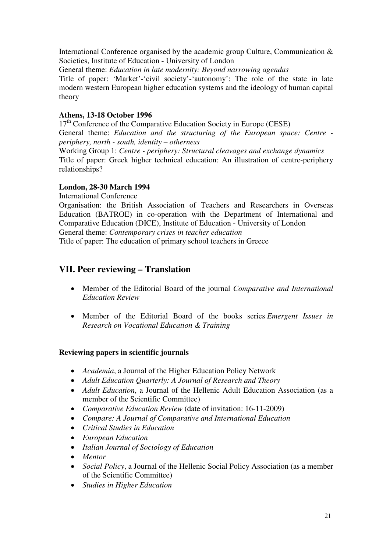International Conference organised by the academic group Culture, Communication & Societies, Institute of Education - University of London

General theme: *Education in late modernity: Beyond narrowing agendas*

Title of paper: 'Market'-'civil society'-'autonomy': The role of the state in late modern western European higher education systems and the ideology of human capital theory

### **Athens, 13-18 October 1996**

17<sup>th</sup> Conference of the Comparative Education Society in Europe (CESE) General theme: *Education and the structuring of the European space: Centre periphery, north - south, identity – otherness*

Working Group 1: *Centre - periphery: Structural cleavages and exchange dynamics*  Title of paper: Greek higher technical education: An illustration of centre-periphery relationships?

## **London, 28-30 March 1994**

International Conference

Organisation: the British Association of Teachers and Researchers in Overseas Education (BATROE) in co-operation with the Department of International and Comparative Education (DICE), Institute of Education - University of London General theme: *Contemporary crises in teacher education* Title of paper: The education of primary school teachers in Greece

## **VII. Peer reviewing – Translation**

- Member of the Editorial Board of the journal *Comparative and International Education Review*
- Member of the Editorial Board of the books series *Emergent Issues in Research on Vocational Education & Training*

## **Reviewing papers in scientific journals**

- *Academia*, a Journal of the Higher Education Policy Network
- *Adult Education Quarterly: A Journal of Research and Theory*
- *Adult Education*, a Journal of the Hellenic Adult Education Association (as a member of the Scientific Committee)
- *Comparative Education Review* (date of invitation: 16-11-2009)
- *Compare: A Journal of Comparative and International Education*
- *Critical Studies in Education*
- *European Education*
- *Italian Journal of Sociology of Education*
- *Mentor*
- *Social Policy*, a Journal of the Hellenic Social Policy Association (as a member of the Scientific Committee)
- *Studies in Higher Education*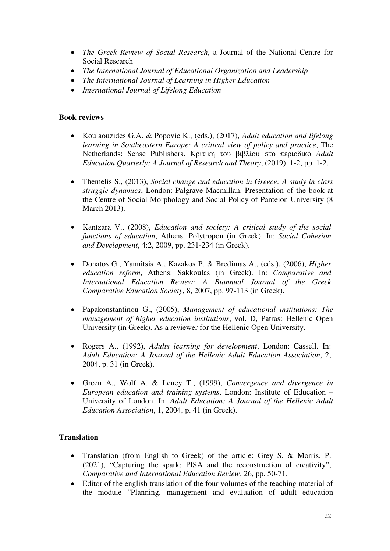- *The Greek Review of Social Research*, a Journal of the National Centre for Social Research
- *The International Journal of Educational Organization and Leadership*
- *The International Journal of Learning in Higher Education*
- *International Journal of Lifelong Education*

### **Book reviews**

- Koulaouzides G.A. & Popovic K., (eds.), (2017), *Adult education and lifelong learning in Southeastern Europe: A critical view of policy and practice*, The Netherlands: Sense Publishers. Κριτική του βιβλίου στο περιοδικό *Adult Education Quarterly: A Journal of Research and Theory*, (2019), 1-2, pp. 1-2.
- Themelis S., (2013), *Social change and education in Greece: A study in class struggle dynamics*, London: Palgrave Μacmillan. Presentation of the book at the Centre of Social Morphology and Social Policy of Panteion University (8 March 2013).
- Kantzara V., (2008), *Education and society: A critical study of the social functions of education*, Athens: Polytropon (in Greek). In: *Social Cohesion and Development*, 4:2, 2009, pp. 231-234 (in Greek).
- Donatos G., Yannitsis A., Kazakos P. & Bredimas A., (eds.), (2006), *Higher education reform*, Athens: Sakkoulas (in Greek). In: *Comparative and International Education Review: A Biannual Journal of the Greek Comparative Education Society*, 8, 2007, pp. 97-113 (in Greek).
- Papakonstantinou G., (2005), *Management of educational institutions: The management of higher education institutions*, vol. D, Patras: Hellenic Open University (in Greek). As a reviewer for the Hellenic Open University.
- Rogers A., (1992), *Adults learning for development*, London: Cassell. In: *Adult Education: A Journal of the Hellenic Adult Education Association*, 2, 2004, p. 31 (in Greek).
- Green A., Wolf A. & Leney T., (1999), *Convergence and divergence in European education and training systems*, London: Institute of Education – University of London. In: *Adult Education: A Journal of the Hellenic Adult Education Association*, 1, 2004, p. 41 (in Greek).

## **Translation**

- Translation (from English to Greek) of the article: Grey S. & Morris, P. (2021), "Capturing the spark: PISA and the reconstruction of creativity", *Comparative and International Education Review*, 26, pp. 50-71.
- Editor of the english translation of the four volumes of the teaching material of the module "Planning, management and evaluation of adult education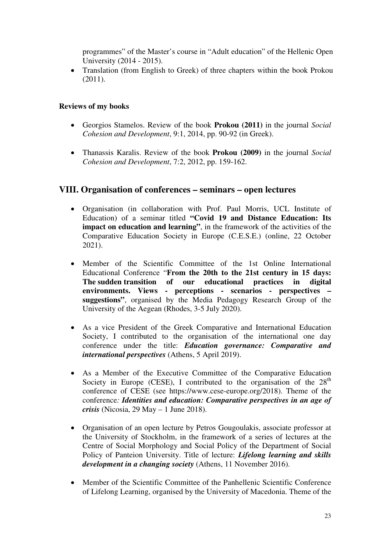programmes" of the Master's course in "Adult education" of the Hellenic Open University (2014 - 2015).

• Translation (from English to Greek) of three chapters within the book Prokou (2011).

## **Reviews of my books**

- Georgios Stamelos. Review of the book **Prokou (2011)** in the journal *Social Cohesion and Development*, 9:1, 2014, pp. 90-92 (in Greek).
- Thanassis Karalis. Review of the book **Prokou (2009)** in the journal *Social Cohesion and Development*, 7:2, 2012, pp. 159-162.

## **VIII. Organisation of conferences – seminars – open lectures**

- Organisation (in collaboration with Prof. Paul Morris, UCL Institute of Education) of a seminar titled **"Covid 19 and Distance Education: Its impact on education and learning"**, in the framework of the activities of the Comparative Education Society in Europe (C.E.S.E.) (online, 22 October 2021).
- Member of the Scientific Committee of the 1st Online International Educational Conference "**From the 20th to the 21st century in 15 days: The sudden transition of our educational practices in digital environments. Views - perceptions - scenarios - perspectives – suggestions"**, organised by the Media Pedagogy Research Group of the University of the Aegean (Rhodes, 3-5 July 2020).
- As a vice President of the Greek Comparative and International Education Society, I contributed to the organisation of the international one day conference under the title: *Education governance: Comparative and international perspectives* (Athens, 5 April 2019).
- As a Member of the Executive Committee of the Comparative Education Society in Europe (CESE), I contributed to the organisation of the  $28<sup>th</sup>$ conference of CESE (see https://www.cese-europe.org/2018). Theme of the conference*: Identities and education: Comparative perspectives in an age of crisis* (Nicosia, 29 May – 1 June 2018).
- Organisation of an open lecture by Petros Gougoulakis, associate professor at the University of Stockholm, in the framework of a series of lectures at the Centre of Social Morphology and Social Policy of the Department of Social Policy of Panteion University. Title of lecture: *Lifelong learning and skills development in a changing society* (Athens, 11 November 2016).
- Member of the Scientific Committee of the Panhellenic Scientific Conference of Lifelong Learning, organised by the University of Macedonia. Theme of the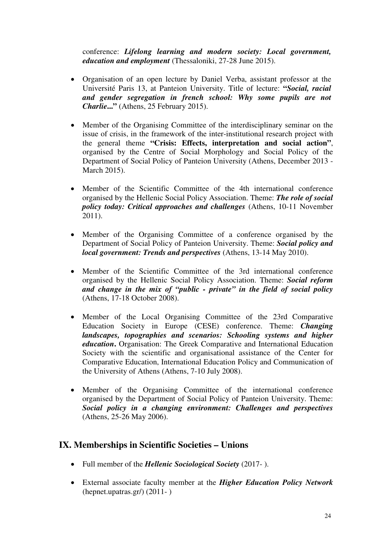conference: *Lifelong learning and modern society: Local government, education and employment* (Thessaloniki, 27-28 June 2015).

- Organisation of an open lecture by Daniel Verba, assistant professor at the Université Paris 13, at Panteion University. Title of lecture: **"***Social, racial and gender segregation in french school: Why some pupils are not Charlie***..."** (Athens, 25 February 2015).
- Member of the Organising Committee of the interdisciplinary seminar on the issue of crisis, in the framework of the inter-institutional research project with the general theme **"Crisis: Effects, interpretation and social action"**, organised by the Centre of Social Morphology and Social Policy of the Department of Social Policy of Panteion University (Athens, December 2013 - March 2015).
- Member of the Scientific Committee of the 4th international conference organised by the Hellenic Social Policy Association. Theme: *The role of social policy today: Critical approaches and challenges* (Athens, 10-11 November 2011).
- Member of the Organising Committee of a conference organised by the Department of Social Policy of Panteion University. Theme: *Social policy and local government: Trends and perspectives* (Athens, 13-14 May 2010).
- Member of the Scientific Committee of the 3rd international conference organised by the Hellenic Social Policy Association. Theme: *Social reform and change in the mix of "public - private" in the field of social policy* (Athens, 17-18 October 2008).
- Member of the Local Organising Committee of the 23rd Comparative Education Society in Europe (CESE) conference. Theme: *Changing landscapes, topographies and scenarios: Schooling systems and higher education***.** Organisation: The Greek Comparative and International Education Society with the scientific and organisational assistance of the Center for Comparative Education, International Education Policy and Communication of the University of Athens (Athens, 7-10 July 2008).
- Member of the Organising Committee of the international conference organised by the Department of Social Policy of Panteion University. Theme: *Social policy in a changing environment: Challenges and perspectives* (Athens, 25-26 May 2006).

## **IX. Memberships in Scientific Societies – Unions**

- Full member of the *Hellenic Sociological Society* (2017- ).
- External associate faculty member at the *Higher Education Policy Network* (hepnet.upatras.gr/) (2011- )